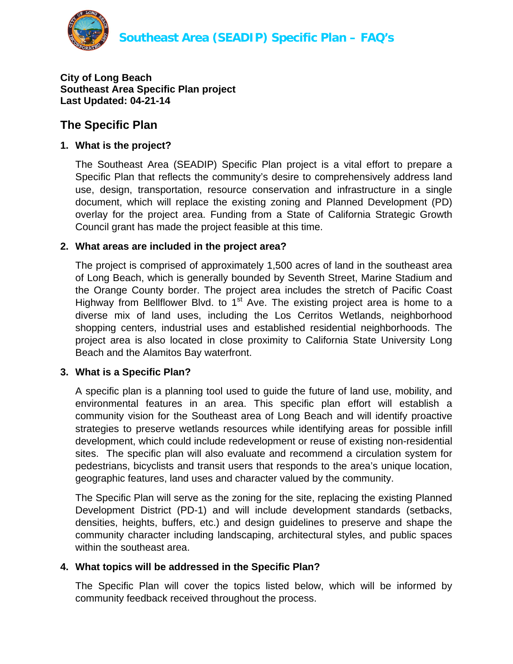

**City of Long Beach Southeast Area Specific Plan project Last Updated: 04-21-14** 

## **The Specific Plan**

#### **1. What is the project?**

The Southeast Area (SEADIP) Specific Plan project is a vital effort to prepare a Specific Plan that reflects the community's desire to comprehensively address land use, design, transportation, resource conservation and infrastructure in a single document, which will replace the existing zoning and Planned Development (PD) overlay for the project area. Funding from a State of California Strategic Growth Council grant has made the project feasible at this time.

#### **2. What areas are included in the project area?**

The project is comprised of approximately 1,500 acres of land in the southeast area of Long Beach, which is generally bounded by Seventh Street, Marine Stadium and the Orange County border. The project area includes the stretch of Pacific Coast Highway from Bellflower Blvd. to  $1<sup>st</sup>$  Ave. The existing project area is home to a diverse mix of land uses, including the Los Cerritos Wetlands, neighborhood shopping centers, industrial uses and established residential neighborhoods. The project area is also located in close proximity to California State University Long Beach and the Alamitos Bay waterfront.

#### **3. What is a Specific Plan?**

A specific plan is a planning tool used to guide the future of land use, mobility, and environmental features in an area. This specific plan effort will establish a community vision for the Southeast area of Long Beach and will identify proactive strategies to preserve wetlands resources while identifying areas for possible infill development, which could include redevelopment or reuse of existing non-residential sites. The specific plan will also evaluate and recommend a circulation system for pedestrians, bicyclists and transit users that responds to the area's unique location, geographic features, land uses and character valued by the community.

The Specific Plan will serve as the zoning for the site, replacing the existing Planned Development District (PD-1) and will include development standards (setbacks, densities, heights, buffers, etc.) and design guidelines to preserve and shape the community character including landscaping, architectural styles, and public spaces within the southeast area.

#### **4. What topics will be addressed in the Specific Plan?**

The Specific Plan will cover the topics listed below, which will be informed by community feedback received throughout the process.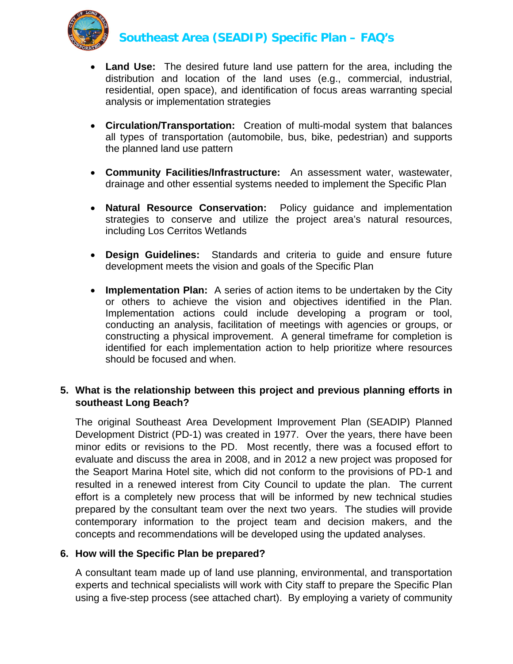

- **Land Use:** The desired future land use pattern for the area, including the distribution and location of the land uses (e.g., commercial, industrial, residential, open space), and identification of focus areas warranting special analysis or implementation strategies
- **Circulation/Transportation:** Creation of multi-modal system that balances all types of transportation (automobile, bus, bike, pedestrian) and supports the planned land use pattern
- **Community Facilities/Infrastructure:** An assessment water, wastewater, drainage and other essential systems needed to implement the Specific Plan
- **Natural Resource Conservation:** Policy guidance and implementation strategies to conserve and utilize the project area's natural resources, including Los Cerritos Wetlands
- **Design Guidelines:** Standards and criteria to guide and ensure future development meets the vision and goals of the Specific Plan
- **Implementation Plan:** A series of action items to be undertaken by the City or others to achieve the vision and objectives identified in the Plan. Implementation actions could include developing a program or tool, conducting an analysis, facilitation of meetings with agencies or groups, or constructing a physical improvement. A general timeframe for completion is identified for each implementation action to help prioritize where resources should be focused and when.

#### **5. What is the relationship between this project and previous planning efforts in southeast Long Beach?**

The original Southeast Area Development Improvement Plan (SEADIP) Planned Development District (PD-1) was created in 1977. Over the years, there have been minor edits or revisions to the PD. Most recently, there was a focused effort to evaluate and discuss the area in 2008, and in 2012 a new project was proposed for the Seaport Marina Hotel site, which did not conform to the provisions of PD-1 and resulted in a renewed interest from City Council to update the plan. The current effort is a completely new process that will be informed by new technical studies prepared by the consultant team over the next two years. The studies will provide contemporary information to the project team and decision makers, and the concepts and recommendations will be developed using the updated analyses.

#### **6. How will the Specific Plan be prepared?**

A consultant team made up of land use planning, environmental, and transportation experts and technical specialists will work with City staff to prepare the Specific Plan using a five-step process (see attached chart). By employing a variety of community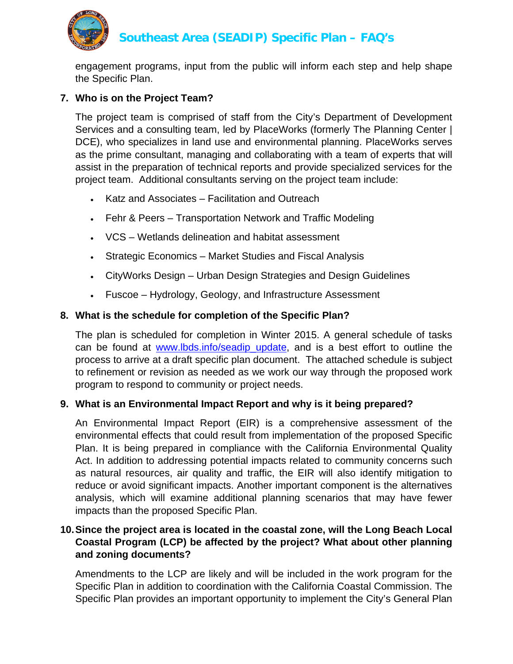

# **Southeast Area (SEADIP) Specific Plan – FAQ's**

engagement programs, input from the public will inform each step and help shape the Specific Plan.

#### **7. Who is on the Project Team?**

The project team is comprised of staff from the City's Department of Development Services and a consulting team, led by PlaceWorks (formerly The Planning Center | DCE), who specializes in land use and environmental planning. PlaceWorks serves as the prime consultant, managing and collaborating with a team of experts that will assist in the preparation of technical reports and provide specialized services for the project team. Additional consultants serving on the project team include:

- Katz and Associates Facilitation and Outreach
- Fehr & Peers Transportation Network and Traffic Modeling
- VCS Wetlands delineation and habitat assessment
- Strategic Economics Market Studies and Fiscal Analysis
- CityWorks Design Urban Design Strategies and Design Guidelines
- Fuscoe Hydrology, Geology, and Infrastructure Assessment

#### **8. What is the schedule for completion of the Specific Plan?**

The plan is scheduled for completion in Winter 2015. A general schedule of tasks can be found at www.lbds.info/seadip update, and is a best effort to outline the process to arrive at a draft specific plan document. The attached schedule is subject to refinement or revision as needed as we work our way through the proposed work program to respond to community or project needs.

#### **9. What is an Environmental Impact Report and why is it being prepared?**

An Environmental Impact Report (EIR) is a comprehensive assessment of the environmental effects that could result from implementation of the proposed Specific Plan. It is being prepared in compliance with the California Environmental Quality Act. In addition to addressing potential impacts related to community concerns such as natural resources, air quality and traffic, the EIR will also identify mitigation to reduce or avoid significant impacts. Another important component is the alternatives analysis, which will examine additional planning scenarios that may have fewer impacts than the proposed Specific Plan.

#### **10. Since the project area is located in the coastal zone, will the Long Beach Local Coastal Program (LCP) be affected by the project? What about other planning and zoning documents?**

Amendments to the LCP are likely and will be included in the work program for the Specific Plan in addition to coordination with the California Coastal Commission. The Specific Plan provides an important opportunity to implement the City's General Plan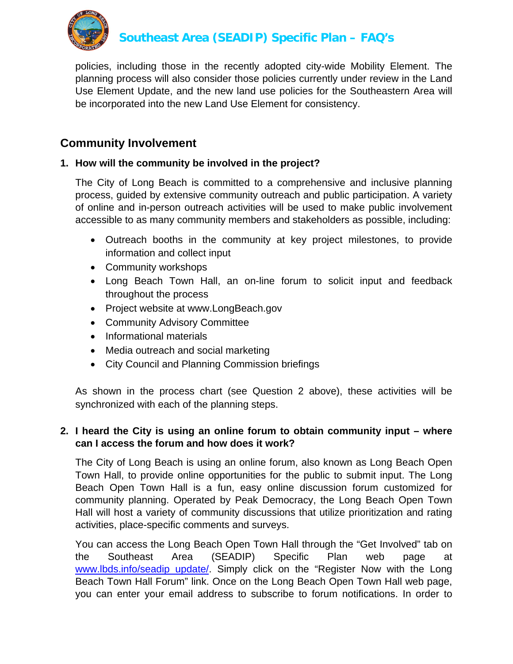

# **Southeast Area (SEADIP) Specific Plan – FAQ's**

policies, including those in the recently adopted city-wide Mobility Element. The planning process will also consider those policies currently under review in the Land Use Element Update, and the new land use policies for the Southeastern Area will be incorporated into the new Land Use Element for consistency.

## **Community Involvement**

#### **1. How will the community be involved in the project?**

The City of Long Beach is committed to a comprehensive and inclusive planning process, guided by extensive community outreach and public participation. A variety of online and in-person outreach activities will be used to make public involvement accessible to as many community members and stakeholders as possible, including:

- Outreach booths in the community at key project milestones, to provide information and collect input
- Community workshops
- Long Beach Town Hall, an on-line forum to solicit input and feedback throughout the process
- Project website at www.LongBeach.gov
- Community Advisory Committee
- Informational materials
- Media outreach and social marketing
- City Council and Planning Commission briefings

As shown in the process chart (see Question 2 above), these activities will be synchronized with each of the planning steps.

#### **2. I heard the City is using an online forum to obtain community input – where can I access the forum and how does it work?**

The City of Long Beach is using an online forum, also known as Long Beach Open Town Hall, to provide online opportunities for the public to submit input. The Long Beach Open Town Hall is a fun, easy online discussion forum customized for community planning. Operated by Peak Democracy, the Long Beach Open Town Hall will host a variety of community discussions that utilize prioritization and rating activities, place-specific comments and surveys.

You can access the Long Beach Open Town Hall through the "Get Involved" tab on the Southeast Area (SEADIP) Specific Plan web page at www.lbds.info/seadip\_update/. Simply click on the "Register Now with the Long Beach Town Hall Forum" link. Once on the Long Beach Open Town Hall web page, you can enter your email address to subscribe to forum notifications. In order to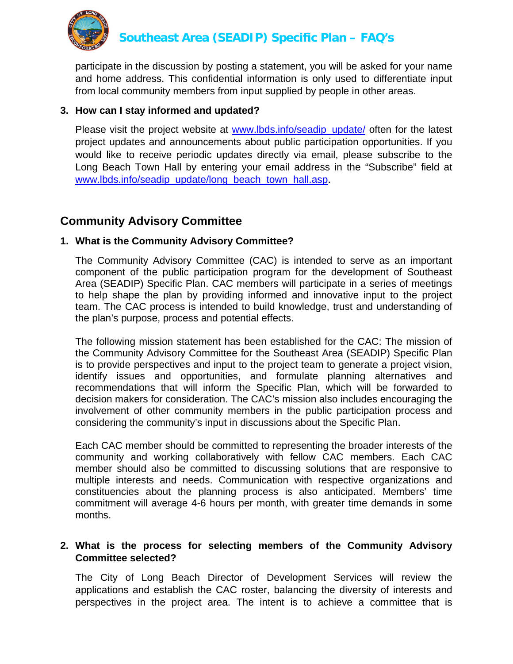

participate in the discussion by posting a statement, you will be asked for your name and home address. This confidential information is only used to differentiate input from local community members from input supplied by people in other areas.

#### **3. How can I stay informed and updated?**

Please visit the project website at www.lbds.info/seadip\_update/ often for the latest project updates and announcements about public participation opportunities. If you would like to receive periodic updates directly via email, please subscribe to the Long Beach Town Hall by entering your email address in the "Subscribe" field at www.lbds.info/seadip\_update/long\_beach\_town\_hall.asp.

## **Community Advisory Committee**

### **1. What is the Community Advisory Committee?**

The Community Advisory Committee (CAC) is intended to serve as an important component of the public participation program for the development of Southeast Area (SEADIP) Specific Plan. CAC members will participate in a series of meetings to help shape the plan by providing informed and innovative input to the project team. The CAC process is intended to build knowledge, trust and understanding of the plan's purpose, process and potential effects.

The following mission statement has been established for the CAC: The mission of the Community Advisory Committee for the Southeast Area (SEADIP) Specific Plan is to provide perspectives and input to the project team to generate a project vision, identify issues and opportunities, and formulate planning alternatives and recommendations that will inform the Specific Plan, which will be forwarded to decision makers for consideration. The CAC's mission also includes encouraging the involvement of other community members in the public participation process and considering the community's input in discussions about the Specific Plan.

Each CAC member should be committed to representing the broader interests of the community and working collaboratively with fellow CAC members. Each CAC member should also be committed to discussing solutions that are responsive to multiple interests and needs. Communication with respective organizations and constituencies about the planning process is also anticipated. Members' time commitment will average 4-6 hours per month, with greater time demands in some months.

#### **2. What is the process for selecting members of the Community Advisory Committee selected?**

The City of Long Beach Director of Development Services will review the applications and establish the CAC roster, balancing the diversity of interests and perspectives in the project area. The intent is to achieve a committee that is